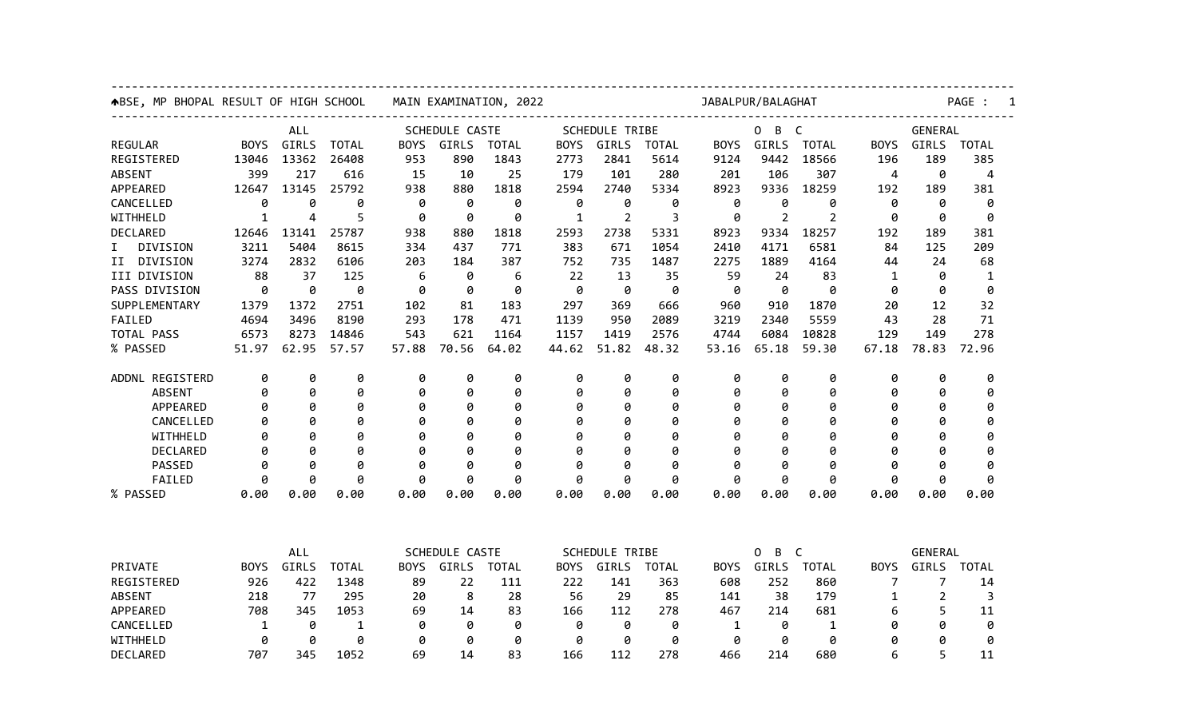| ABSE, MP BHOPAL RESULT OF HIGH SCHOOL |             |       |                | MAIN EXAMINATION, 2022 |       |              |                       |                       | JABALPUR/BALAGHAT |                        |                        |                |             |         | PAGE :       |  |  |
|---------------------------------------|-------------|-------|----------------|------------------------|-------|--------------|-----------------------|-----------------------|-------------------|------------------------|------------------------|----------------|-------------|---------|--------------|--|--|
|                                       | <b>ALL</b>  |       |                | SCHEDULE CASTE         |       |              |                       | <b>SCHEDULE TRIBE</b> |                   |                        | B<br>0<br>$\mathsf{C}$ |                |             | GENERAL |              |  |  |
| <b>REGULAR</b>                        | <b>BOYS</b> | GIRLS | <b>TOTAL</b>   | BOYS                   | GIRLS | <b>TOTAL</b> | <b>BOYS</b>           | GIRLS                 | <b>TOTAL</b>      | <b>BOYS</b>            | GIRLS                  | <b>TOTAL</b>   | <b>BOYS</b> | GIRLS   | TOTAL        |  |  |
| REGISTERED                            | 13046       | 13362 | 26408          | 953                    | 890   | 1843         | 2773                  | 2841                  | 5614              | 9124                   | 9442                   | 18566          | 196         | 189     | 385          |  |  |
| <b>ABSENT</b>                         | 399         | 217   | 616            | 15                     | 10    | 25           | 179                   | 101                   | 280               | 201                    | 106                    | 307            | 4           | 0       | 4            |  |  |
| APPEARED                              | 12647       | 13145 | 25792          | 938                    | 880   | 1818         | 2594                  | 2740                  | 5334              | 8923                   | 9336                   | 18259          | 192         | 189     | 381          |  |  |
| CANCELLED                             | 0           | 0     | 0              | 0                      | 0     | 0            | 0                     | 0                     | 0                 | 0                      | 0                      | 0              | 0           | 0       | 0            |  |  |
| WITHHELD                              | 1           | 4     | 5              | 0                      | 0     | 0            | 1                     | $\overline{2}$        | 3                 | 0                      | $\overline{2}$         | $\overline{2}$ | ø           | ø       | 0            |  |  |
| DECLARED                              | 12646       | 13141 | 25787          | 938                    | 880   | 1818         | 2593                  | 2738                  | 5331              | 8923                   | 9334                   | 18257          | 192         | 189     | 381          |  |  |
| DIVISION<br>I.                        | 3211        | 5404  | 8615           | 334                    | 437   | 771          | 383                   | 671                   | 1054              | 2410                   | 4171                   | 6581           | 84          | 125     | 209          |  |  |
| DIVISION<br>II                        | 3274        | 2832  | 6106           | 203                    | 184   | 387          | 752                   | 735                   | 1487              | 2275                   | 1889                   | 4164           | 44          | 24      | 68           |  |  |
| III DIVISION                          | 88          | 37    | 125            | 6                      | 0     | 6            | 22                    | 13                    | 35                | 59                     | 24                     | 83             | 1           | 0       | 1            |  |  |
| PASS DIVISION                         | 0           | 0     | 0              | 0                      | 0     | 0            | 0                     | 0                     | 0                 | 0                      | 0                      | 0              | 0           | 0       | 0            |  |  |
| SUPPLEMENTARY                         | 1379        | 1372  | 2751           | 102                    | 81    | 183          | 297                   | 369                   | 666               | 960                    | 910                    | 1870           | 20          | 12      | 32           |  |  |
| FAILED                                | 4694        | 3496  | 8190           | 293                    | 178   | 471          | 1139                  | 950                   | 2089              | 3219                   | 2340                   | 5559           | 43          | 28      | 71           |  |  |
| TOTAL PASS                            | 6573        | 8273  | 14846          | 543                    | 621   | 1164         | 1157                  | 1419                  | 2576              | 4744                   | 6084                   | 10828          | 129         | 149     | 278          |  |  |
| % PASSED                              | 51.97       | 62.95 | 57.57          | 57.88                  | 70.56 | 64.02        | 44.62                 | 51.82                 | 48.32             | 53.16                  | 65.18                  | 59.30          | 67.18       | 78.83   | 72.96        |  |  |
| ADDNL REGISTERD                       | 0           | 0     | 0              | 0                      | 0     | 0            | 0                     | 0                     | 0                 | 0                      | 0                      | 0              | 0           | 0       | 0            |  |  |
| <b>ABSENT</b>                         | 0           | 0     | 0              | 0                      | 0     | 0            | 0                     | 0                     | 0                 | 0                      | 0                      | 0              | 0           | 0       | 0            |  |  |
| <b>APPEARED</b>                       | 0           | 0     | 0              | 0                      | 0     | 0            | 0                     | 0                     | 0                 | 0                      | 0                      | 0              | 0           | Ø       | 0            |  |  |
| CANCELLED                             | 0           | Ø     | 0              | 0                      | 0     | 0            | 0                     | Ø                     | 0                 | ø                      | 0                      | 0              | 0           | Ø       | 0            |  |  |
| WITHHELD                              | 0           | 0     | 0              | 0                      | 0     | 0            | 0                     | Ø                     | 0                 | a                      | 0                      | 0              | 0           | 0       | 0            |  |  |
| <b>DECLARED</b>                       | 0           | Ø     | 0              | 0                      | 0     | 0            | 0                     | Ø                     | 0                 | Ø                      | 0                      | 0              | ø           | Ø       | 0            |  |  |
| PASSED                                | ø           | ø     | Ø              | ø                      | ø     | 0            | ø                     | ø                     | ø                 | a                      | ø                      | ø              | ø           | ø       | ø            |  |  |
| FAILED                                | 0           | Ø     | 0              | 0                      | 0     | 0            | 0                     | 0                     | 0                 | Ø                      | 0                      | 0              | 0           | 0       | 0            |  |  |
| % PASSED                              | 0.00        | 0.00  | 0.00           | 0.00                   | 0.00  | 0.00         | 0.00                  | 0.00                  | 0.00              | 0.00                   | 0.00                   | 0.00           | 0.00        | 0.00    | 0.00         |  |  |
|                                       |             |       |                |                        |       |              |                       |                       |                   |                        |                        |                |             |         |              |  |  |
|                                       | ALL         |       | SCHEDULE CASTE |                        |       |              | <b>SCHEDULE TRIBE</b> |                       |                   | B<br>$\mathsf{C}$<br>0 |                        |                | GENERAL     |         |              |  |  |
| PRIVATE                               | <b>BOYS</b> | GIRLS | <b>TOTAL</b>   | <b>BOYS</b>            | GIRLS | <b>TOTAL</b> | <b>BOYS</b>           | GIRLS                 | <b>TOTAL</b>      | <b>BOYS</b>            | <b>GIRLS</b>           | <b>TOTAL</b>   | <b>BOYS</b> | GIRLS   | <b>TOTAL</b> |  |  |
| REGISTERED                            | 926         | 422   | 1348           | 89                     | 22    | 111          | 222                   | 141                   | 363               | 608                    | 252                    | 860            | 7           | 7       | 14           |  |  |
| <b>ABSENT</b>                         | 218         | 77    | 295            | 20                     | 8     | 28           | 56                    | 29                    | 85                | 141                    | 38                     | 179            | 1           | 2       | 3            |  |  |
| APPEARED                              | 708         | 345   | 1053           | 69                     | 14    | 83           | 166                   | 112                   | 278               | 467                    | 214                    | 681            | 6           | 5       | 11           |  |  |
| CANCELLED                             | 1           | 0     | 1              | 0                      | 0     | 0            | 0                     | 0                     | 0                 | 1                      | 0                      | 1              | 0           | 0       | 0            |  |  |
| WITHHELD                              | 0           | 0     | 0              | 0                      | 0     | 0            | 0                     | 0                     | 0                 | 0                      | 0                      | 0              | ø           | Ø       | 0            |  |  |
| DECLARED                              | 707         | 345   | 1052           | 69                     | 14    | 83           | 166                   | 112                   | 278               | 466                    | 214                    | 680            | 6           | 5       | 11           |  |  |